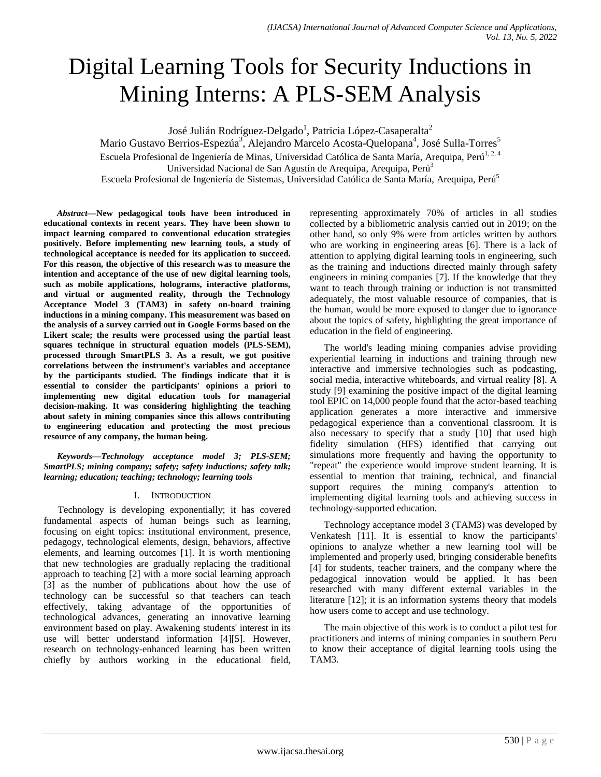# Digital Learning Tools for Security Inductions in Mining Interns: A PLS-SEM Analysis

José Julián Rodríguez-Delgado<sup>1</sup>, Patricia López-Casaperalta<sup>2</sup>

Mario Gustavo Berrios-Espezúa<sup>3</sup>, Alejandro Marcelo Acosta-Quelopana<sup>4</sup>, José Sulla-Torres<sup>5</sup> Escuela Profesional de Ingeniería de Minas, Universidad Católica de Santa María, Arequipa, Perú<sup>1, 2, 4</sup>

Universidad Nacional de San Agustín de Arequipa, Arequipa, Perú<sup>3</sup>

Escuela Profesional de Ingeniería de Sistemas, Universidad Católica de Santa María, Arequipa, Perú<sup>5</sup>

*Abstract***—New pedagogical tools have been introduced in educational contexts in recent years. They have been shown to impact learning compared to conventional education strategies positively. Before implementing new learning tools, a study of technological acceptance is needed for its application to succeed. For this reason, the objective of this research was to measure the intention and acceptance of the use of new digital learning tools, such as mobile applications, holograms, interactive platforms, and virtual or augmented reality, through the Technology Acceptance Model 3 (TAM3) in safety on-board training inductions in a mining company. This measurement was based on the analysis of a survey carried out in Google Forms based on the Likert scale; the results were processed using the partial least squares technique in structural equation models (PLS-SEM), processed through SmartPLS 3. As a result, we got positive correlations between the instrument's variables and acceptance by the participants studied. The findings indicate that it is essential to consider the participants' opinions a priori to implementing new digital education tools for managerial decision-making. It was considering highlighting the teaching about safety in mining companies since this allows contributing to engineering education and protecting the most precious resource of any company, the human being.**

*Keywords—Technology acceptance model 3; PLS-SEM; SmartPLS; mining company; safety; safety inductions; safety talk; learning; education; teaching; technology; learning tools*

## I. INTRODUCTION

Technology is developing exponentially; it has covered fundamental aspects of human beings such as learning, focusing on eight topics: institutional environment, presence, pedagogy, technological elements, design, behaviors, affective elements, and learning outcomes [1]. It is worth mentioning that new technologies are gradually replacing the traditional approach to teaching [2] with a more social learning approach [3] as the number of publications about how the use of technology can be successful so that teachers can teach effectively, taking advantage of the opportunities of technological advances, generating an innovative learning environment based on play. Awakening students' interest in its use will better understand information [4][5]. However, research on technology-enhanced learning has been written chiefly by authors working in the educational field, representing approximately 70% of articles in all studies collected by a bibliometric analysis carried out in 2019; on the other hand, so only 9% were from articles written by authors who are working in engineering areas [6]. There is a lack of attention to applying digital learning tools in engineering, such as the training and inductions directed mainly through safety engineers in mining companies [7]. If the knowledge that they want to teach through training or induction is not transmitted adequately, the most valuable resource of companies, that is the human, would be more exposed to danger due to ignorance about the topics of safety, highlighting the great importance of education in the field of engineering.

The world's leading mining companies advise providing experiential learning in inductions and training through new interactive and immersive technologies such as podcasting, social media, interactive whiteboards, and virtual reality [8]. A study [9] examining the positive impact of the digital learning tool EPIC on 14,000 people found that the actor-based teaching application generates a more interactive and immersive pedagogical experience than a conventional classroom. It is also necessary to specify that a study [10] that used high fidelity simulation (HFS) identified that carrying out simulations more frequently and having the opportunity to "repeat" the experience would improve student learning. It is essential to mention that training, technical, and financial support requires the mining company's attention to implementing digital learning tools and achieving success in technology-supported education.

Technology acceptance model 3 (TAM3) was developed by Venkatesh [11]. It is essential to know the participants' opinions to analyze whether a new learning tool will be implemented and properly used, bringing considerable benefits [4] for students, teacher trainers, and the company where the pedagogical innovation would be applied. It has been researched with many different external variables in the literature [12]; it is an information systems theory that models how users come to accept and use technology.

The main objective of this work is to conduct a pilot test for practitioners and interns of mining companies in southern Peru to know their acceptance of digital learning tools using the TAM3.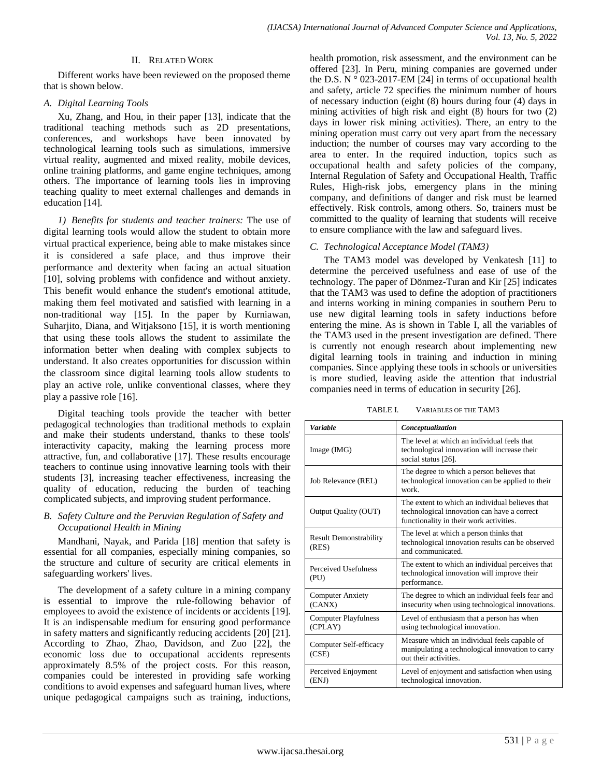## II. RELATED WORK

Different works have been reviewed on the proposed theme that is shown below.

## *A. Digital Learning Tools*

Xu, Zhang, and Hou, in their paper [13], indicate that the traditional teaching methods such as 2D presentations, conferences, and workshops have been innovated by technological learning tools such as simulations, immersive virtual reality, augmented and mixed reality, mobile devices, online training platforms, and game engine techniques, among others. The importance of learning tools lies in improving teaching quality to meet external challenges and demands in education [14].

*1) Benefits for students and teacher trainers:* The use of digital learning tools would allow the student to obtain more virtual practical experience, being able to make mistakes since it is considered a safe place, and thus improve their performance and dexterity when facing an actual situation [10], solving problems with confidence and without anxiety. This benefit would enhance the student's emotional attitude, making them feel motivated and satisfied with learning in a non-traditional way [15]. In the paper by Kurniawan, Suharjito, Diana, and Witjaksono [15], it is worth mentioning that using these tools allows the student to assimilate the information better when dealing with complex subjects to understand. It also creates opportunities for discussion within the classroom since digital learning tools allow students to play an active role, unlike conventional classes, where they play a passive role [16].

Digital teaching tools provide the teacher with better pedagogical technologies than traditional methods to explain and make their students understand, thanks to these tools' interactivity capacity, making the learning process more attractive, fun, and collaborative [17]. These results encourage teachers to continue using innovative learning tools with their students [3], increasing teacher effectiveness, increasing the quality of education, reducing the burden of teaching complicated subjects, and improving student performance.

# *B. Safety Culture and the Peruvian Regulation of Safety and Occupational Health in Mining*

Mandhani, Nayak, and Parida [18] mention that safety is essential for all companies, especially mining companies, so the structure and culture of security are critical elements in safeguarding workers' lives.

The development of a safety culture in a mining company is essential to improve the rule-following behavior of employees to avoid the existence of incidents or accidents [19]. It is an indispensable medium for ensuring good performance in safety matters and significantly reducing accidents [20] [21]. According to Zhao, Zhao, Davidson, and Zuo [22], the economic loss due to occupational accidents represents approximately 8.5% of the project costs. For this reason, companies could be interested in providing safe working conditions to avoid expenses and safeguard human lives, where unique pedagogical campaigns such as training, inductions,

health promotion, risk assessment, and the environment can be offered [23]. In Peru, mining companies are governed under the D.S. N  $\degree$  023-2017-EM [24] in terms of occupational health and safety, article 72 specifies the minimum number of hours of necessary induction (eight (8) hours during four (4) days in mining activities of high risk and eight (8) hours for two (2) days in lower risk mining activities). There, an entry to the mining operation must carry out very apart from the necessary induction; the number of courses may vary according to the area to enter. In the required induction, topics such as occupational health and safety policies of the company, Internal Regulation of Safety and Occupational Health, Traffic Rules, High-risk jobs, emergency plans in the mining company, and definitions of danger and risk must be learned effectively. Risk controls, among others. So, trainers must be committed to the quality of learning that students will receive to ensure compliance with the law and safeguard lives.

# *C. Technological Acceptance Model (TAM3)*

The TAM3 model was developed by Venkatesh [11] to determine the perceived usefulness and ease of use of the technology. The paper of Dönmez-Turan and Kir [25] indicates that the TAM3 was used to define the adoption of practitioners and interns working in mining companies in southern Peru to use new digital learning tools in safety inductions before entering the mine. As is shown in Table I, all the variables of the TAM3 used in the present investigation are defined. There is currently not enough research about implementing new digital learning tools in training and induction in mining companies. Since applying these tools in schools or universities is more studied, leaving aside the attention that industrial companies need in terms of education in security [26].

TABLE I. VARIABLES OF THE TAM3

| <b>Variable</b>                        | Conceptualization                                                                                                                         |
|----------------------------------------|-------------------------------------------------------------------------------------------------------------------------------------------|
| Image (IMG)                            | The level at which an individual feels that<br>technological innovation will increase their<br>social status [26].                        |
| Job Relevance (REL)                    | The degree to which a person believes that<br>technological innovation can be applied to their<br>work                                    |
| Output Quality (OUT)                   | The extent to which an individual believes that<br>technological innovation can have a correct<br>functionality in their work activities. |
| <b>Result Demonstrability</b><br>(RES) | The level at which a person thinks that<br>technological innovation results can be observed<br>and communicated.                          |
| Perceived Usefulness<br>(PU)           | The extent to which an individual perceives that<br>technological innovation will improve their<br>performance.                           |
| <b>Computer Anxiety</b><br>(CANX)      | The degree to which an individual feels fear and<br>insecurity when using technological innovations.                                      |
| <b>Computer Playfulness</b><br>(CPLAY) | Level of enthusiasm that a person has when<br>using technological innovation.                                                             |
| Computer Self-efficacy<br>(CSE)        | Measure which an individual feels capable of<br>manipulating a technological innovation to carry<br>out their activities.                 |
| Perceived Enjoyment<br>(ENJ)           | Level of enjoyment and satisfaction when using<br>technological innovation.                                                               |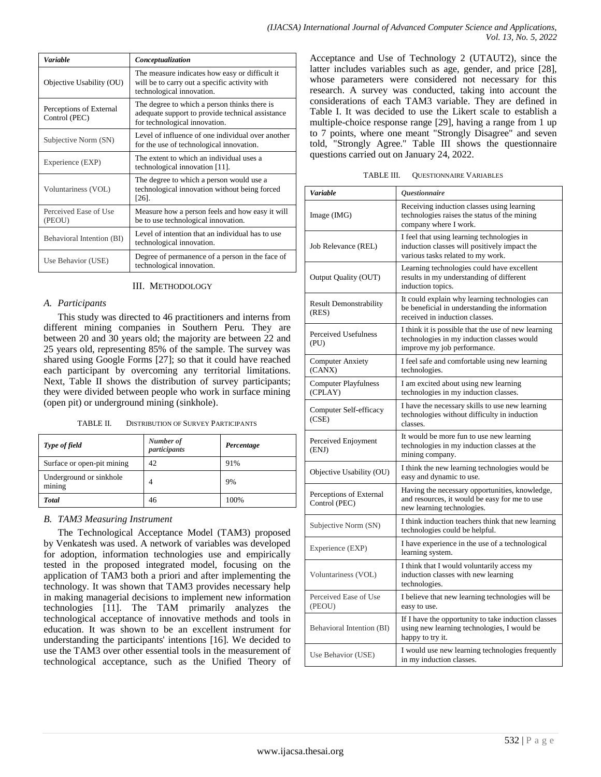| <b>Variable</b>                          | Conceptualization                                                                                                                 |
|------------------------------------------|-----------------------------------------------------------------------------------------------------------------------------------|
| Objective Usability (OU)                 | The measure indicates how easy or difficult it.<br>will be to carry out a specific activity with<br>technological innovation.     |
| Perceptions of External<br>Control (PEC) | The degree to which a person thinks there is<br>adequate support to provide technical assistance<br>for technological innovation. |
| Subjective Norm (SN)                     | Level of influence of one individual over another<br>for the use of technological innovation.                                     |
| Experience (EXP)                         | The extent to which an individual uses a<br>technological innovation [11].                                                        |
| Voluntariness (VOL)                      | The degree to which a person would use a<br>technological innovation without being forced<br>$[26]$ .                             |
| Perceived Ease of Use<br>(PEOU)          | Measure how a person feels and how easy it will<br>be to use technological innovation.                                            |
| Behavioral Intention (BI)                | Level of intention that an individual has to use<br>technological innovation.                                                     |
| Use Behavior (USE)                       | Degree of permanence of a person in the face of<br>technological innovation.                                                      |

## III. METHODOLOGY

## *A. Participants*

This study was directed to 46 practitioners and interns from different mining companies in Southern Peru. They are between 20 and 30 years old; the majority are between 22 and 25 years old, representing 85% of the sample. The survey was shared using Google Forms [27]; so that it could have reached each participant by overcoming any territorial limitations. Next, Table II shows the distribution of survey participants; they were divided between people who work in surface mining (open pit) or underground mining (sinkhole).

TABLE II. DISTRIBUTION OF SURVEY PARTICIPANTS

| Type of field                     | Number of<br>participants | Percentage |
|-----------------------------------|---------------------------|------------|
| Surface or open-pit mining        | 42                        | 91%        |
| Underground or sinkhole<br>mining | 4                         | 9%         |
| <b>Total</b>                      | 46                        | 100%       |

## *B. TAM3 Measuring Instrument*

The Technological Acceptance Model (TAM3) proposed by Venkatesh was used. A network of variables was developed for adoption, information technologies use and empirically tested in the proposed integrated model, focusing on the application of TAM3 both a priori and after implementing the technology. It was shown that TAM3 provides necessary help in making managerial decisions to implement new information technologies [11]. The TAM primarily analyzes the technological acceptance of innovative methods and tools in education. It was shown to be an excellent instrument for understanding the participants' intentions [16]. We decided to use the TAM3 over other essential tools in the measurement of technological acceptance, such as the Unified Theory of Acceptance and Use of Technology 2 (UTAUT2), since the latter includes variables such as age, gender, and price [28], whose parameters were considered not necessary for this research. A survey was conducted, taking into account the considerations of each TAM3 variable. They are defined in Table I. It was decided to use the Likert scale to establish a multiple-choice response range [29], having a range from 1 up to 7 points, where one meant "Strongly Disagree" and seven told, "Strongly Agree." Table III shows the questionnaire questions carried out on January 24, 2022.

TABLE III. QUESTIONNAIRE VARIABLES

| <b>Variable</b>                          | <i><b>Questionnaire</b></i>                                                                                                        |
|------------------------------------------|------------------------------------------------------------------------------------------------------------------------------------|
| Image (IMG)                              | Receiving induction classes using learning<br>technologies raises the status of the mining<br>company where I work.                |
| Job Relevance (REL)                      | I feel that using learning technologies in<br>induction classes will positively impact the<br>various tasks related to my work.    |
| Output Quality (OUT)                     | Learning technologies could have excellent<br>results in my understanding of different<br>induction topics.                        |
| <b>Result Demonstrability</b><br>(RES)   | It could explain why learning technologies can<br>be beneficial in understanding the information<br>received in induction classes. |
| Perceived Usefulness<br>(PU)             | I think it is possible that the use of new learning<br>technologies in my induction classes would<br>improve my job performance.   |
| <b>Computer Anxiety</b><br>(CANX)        | I feel safe and comfortable using new learning<br>technologies.                                                                    |
| Computer Playfulness<br>(CPLAY)          | I am excited about using new learning<br>technologies in my induction classes.                                                     |
| Computer Self-efficacy<br>(CSE)          | I have the necessary skills to use new learning<br>technologies without difficulty in induction<br>classes.                        |
| Perceived Enjoyment<br>(ENJ)             | It would be more fun to use new learning<br>technologies in my induction classes at the<br>mining company.                         |
| Objective Usability (OU)                 | I think the new learning technologies would be<br>easy and dynamic to use.                                                         |
| Perceptions of External<br>Control (PEC) | Having the necessary opportunities, knowledge,<br>and resources, it would be easy for me to use<br>new learning technologies.      |
| Subjective Norm (SN)                     | I think induction teachers think that new learning<br>technologies could be helpful.                                               |
| Experience (EXP)                         | I have experience in the use of a technological<br>learning system.                                                                |
| Voluntariness (VOL)                      | I think that I would voluntarily access my<br>induction classes with new learning<br>technologies.                                 |
| Perceived Ease of Use<br>(PEOU)          | I believe that new learning technologies will be<br>easy to use.                                                                   |
| Behavioral Intention (BI)                | If I have the opportunity to take induction classes<br>using new learning technologies, I would be<br>happy to try it.             |
| Use Behavior (USE)                       | I would use new learning technologies frequently<br>in my induction classes.                                                       |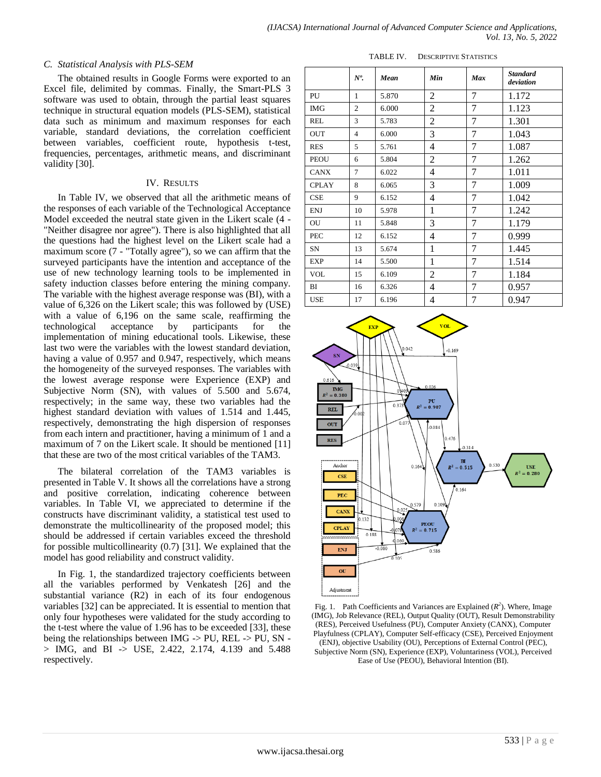#### *C. Statistical Analysis with PLS-SEM*

The obtained results in Google Forms were exported to an Excel file, delimited by commas. Finally, the Smart-PLS 3 software was used to obtain, through the partial least squares technique in structural equation models (PLS-SEM), statistical data such as minimum and maximum responses for each variable, standard deviations, the correlation coefficient between variables, coefficient route, hypothesis t-test, frequencies, percentages, arithmetic means, and discriminant validity [30].

#### IV. RESULTS

In Table IV, we observed that all the arithmetic means of the responses of each variable of the Technological Acceptance Model exceeded the neutral state given in the Likert scale (4 - "Neither disagree nor agree"). There is also highlighted that all the questions had the highest level on the Likert scale had a maximum score (7 - "Totally agree"), so we can affirm that the surveyed participants have the intention and acceptance of the use of new technology learning tools to be implemented in safety induction classes before entering the mining company. The variable with the highest average response was (BI), with a value of 6,326 on the Likert scale; this was followed by (USE) with a value of 6,196 on the same scale, reaffirming the technological acceptance by participants for the implementation of mining educational tools. Likewise, these last two were the variables with the lowest standard deviation, having a value of 0.957 and 0.947, respectively, which means the homogeneity of the surveyed responses. The variables with the lowest average response were Experience (EXP) and Subjective Norm (SN), with values of 5.500 and 5.674, respectively; in the same way, these two variables had the highest standard deviation with values of 1.514 and 1.445, respectively, demonstrating the high dispersion of responses from each intern and practitioner, having a minimum of 1 and a maximum of 7 on the Likert scale. It should be mentioned [11] that these are two of the most critical variables of the TAM3.

The bilateral correlation of the TAM3 variables is presented in Table V. It shows all the correlations have a strong and positive correlation, indicating coherence between variables. In Table VI, we appreciated to determine if the constructs have discriminant validity, a statistical test used to demonstrate the multicollinearity of the proposed model; this should be addressed if certain variables exceed the threshold for possible multicollinearity (0.7) [31]. We explained that the model has good reliability and construct validity.

In Fig. 1, the standardized trajectory coefficients between all the variables performed by Venkatesh [26] and the substantial variance (R2) in each of its four endogenous variables [32] can be appreciated. It is essential to mention that only four hypotheses were validated for the study according to the t-test where the value of 1.96 has to be exceeded [33], these being the relationships between IMG -> PU, REL -> PU, SN - > IMG, and BI -> USE, 2.422, 2.174, 4.139 and 5.488 respectively.

| TABLE IV. | <b>DESCRIPTIVE STATISTICS</b> |
|-----------|-------------------------------|
|           |                               |

|              | $N^o$ .        | Mean  | Min            | <b>Max</b> | <b>Standard</b><br>deviation |
|--------------|----------------|-------|----------------|------------|------------------------------|
| PU           | 1              | 5.870 | $\overline{c}$ | 7          | 1.172                        |
| <b>IMG</b>   | $\overline{c}$ | 6.000 | 2              | 7          | 1.123                        |
| <b>REL</b>   | 3              | 5.783 | $\overline{c}$ | 7          | 1.301                        |
| <b>OUT</b>   | $\overline{4}$ | 6.000 | 3              | 7          | 1.043                        |
| <b>RES</b>   | 5              | 5.761 | 4              | 7          | 1.087                        |
| <b>PEOU</b>  | 6              | 5.804 | 2              | 7          | 1.262                        |
| <b>CANX</b>  | 7              | 6.022 | 4              | 7          | 1.011                        |
| <b>CPLAY</b> | 8              | 6.065 | 3              | 7          | 1.009                        |
| CSE          | 9              | 6.152 | 4              | 7          | 1.042                        |
| <b>ENJ</b>   | 10             | 5.978 | 1              | 7          | 1.242                        |
| OU           | 11             | 5.848 | 3              | 7          | 1.179                        |
| PEC          | 12             | 6.152 | 4              | 7          | 0.999                        |
| SN           | 13             | 5.674 | 1              | 7          | 1.445                        |
| <b>EXP</b>   | 14             | 5.500 | 1              | 7          | 1.514                        |
| <b>VOL</b>   | 15             | 6.109 | 2              | 7          | 1.184                        |
| BI           | 16             | 6.326 | 4              | 7          | 0.957                        |
| <b>USE</b>   | 17             | 6.196 | 4              | 7          | 0.947                        |



Fig. 1. Path Coefficients and Variances are Explained  $(R^2)$ . Where, Image (IMG), Job Relevance (REL), Output Quality (OUT), Result Demonstrability (RES), Perceived Usefulness (PU), Computer Anxiety (CANX), Computer Playfulness (CPLAY), Computer Self-efficacy (CSE), Perceived Enjoyment

<sup>(</sup>ENJ), objective Usability (OU), Perceptions of External Control (PEC), Subjective Norm (SN), Experience (EXP), Voluntariness (VOL), Perceived Ease of Use (PEOU), Behavioral Intention (BI).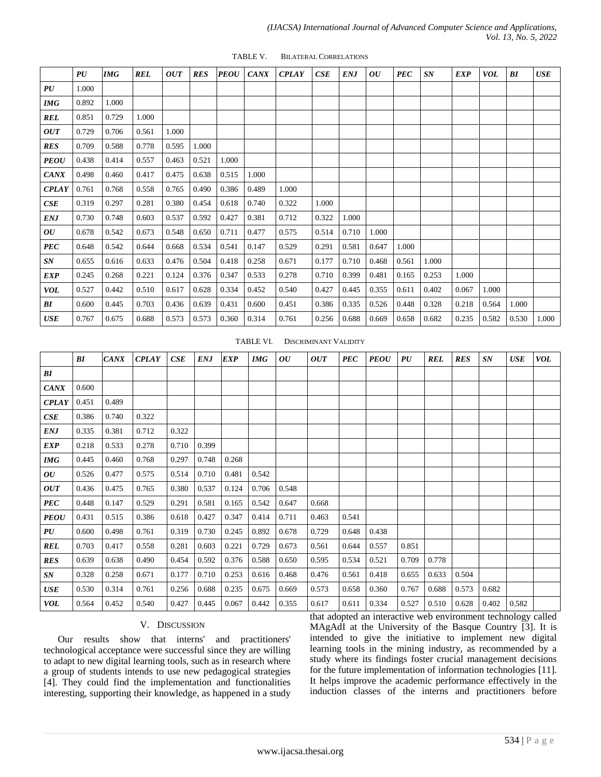|              | PU    | <b>IMG</b> | <b>REL</b> | <b>OUT</b> | <b>RES</b> | <b>PEOU</b> | <b>CANX</b> | <b>CPLAY</b> | CSE   | <b>ENJ</b> | 0U    | <b>PEC</b> | SN    | <b>EXP</b> | VOL   | BI    | <b>USE</b> |
|--------------|-------|------------|------------|------------|------------|-------------|-------------|--------------|-------|------------|-------|------------|-------|------------|-------|-------|------------|
| PU           | 1.000 |            |            |            |            |             |             |              |       |            |       |            |       |            |       |       |            |
| <b>IMG</b>   | 0.892 | 1.000      |            |            |            |             |             |              |       |            |       |            |       |            |       |       |            |
| <b>REL</b>   | 0.851 | 0.729      | 1.000      |            |            |             |             |              |       |            |       |            |       |            |       |       |            |
| <b>OUT</b>   | 0.729 | 0.706      | 0.561      | 1.000      |            |             |             |              |       |            |       |            |       |            |       |       |            |
| <b>RES</b>   | 0.709 | 0.588      | 0.778      | 0.595      | 1.000      |             |             |              |       |            |       |            |       |            |       |       |            |
| <b>PEOU</b>  | 0.438 | 0.414      | 0.557      | 0.463      | 0.521      | 1.000       |             |              |       |            |       |            |       |            |       |       |            |
| <b>CANX</b>  | 0.498 | 0.460      | 0.417      | 0.475      | 0.638      | 0.515       | 1.000       |              |       |            |       |            |       |            |       |       |            |
| <b>CPLAY</b> | 0.761 | 0.768      | 0.558      | 0.765      | 0.490      | 0.386       | 0.489       | 1.000        |       |            |       |            |       |            |       |       |            |
| CSE          | 0.319 | 0.297      | 0.281      | 0.380      | 0.454      | 0.618       | 0.740       | 0.322        | 1.000 |            |       |            |       |            |       |       |            |
| <b>ENJ</b>   | 0.730 | 0.748      | 0.603      | 0.537      | 0.592      | 0.427       | 0.381       | 0.712        | 0.322 | 1.000      |       |            |       |            |       |       |            |
| OU           | 0.678 | 0.542      | 0.673      | 0.548      | 0.650      | 0.711       | 0.477       | 0.575        | 0.514 | 0.710      | 1.000 |            |       |            |       |       |            |
| <b>PEC</b>   | 0.648 | 0.542      | 0.644      | 0.668      | 0.534      | 0.541       | 0.147       | 0.529        | 0.291 | 0.581      | 0.647 | 1.000      |       |            |       |       |            |
| SN           | 0.655 | 0.616      | 0.633      | 0.476      | 0.504      | 0.418       | 0.258       | 0.671        | 0.177 | 0.710      | 0.468 | 0.561      | 1.000 |            |       |       |            |
| <b>EXP</b>   | 0.245 | 0.268      | 0.221      | 0.124      | 0.376      | 0.347       | 0.533       | 0.278        | 0.710 | 0.399      | 0.481 | 0.165      | 0.253 | 1.000      |       |       |            |
| <b>VOL</b>   | 0.527 | 0.442      | 0.510      | 0.617      | 0.628      | 0.334       | 0.452       | 0.540        | 0.427 | 0.445      | 0.355 | 0.611      | 0.402 | 0.067      | 1.000 |       |            |
| BI           | 0.600 | 0.445      | 0.703      | 0.436      | 0.639      | 0.431       | 0.600       | 0.451        | 0.386 | 0.335      | 0.526 | 0.448      | 0.328 | 0.218      | 0.564 | 1.000 |            |
| USE          | 0.767 | 0.675      | 0.688      | 0.573      | 0.573      | 0.360       | 0.314       | 0.761        | 0.256 | 0.688      | 0.669 | 0.658      | 0.682 | 0.235      | 0.582 | 0.530 | 1.000      |

TABLE V. BILATERAL CORRELATIONS

## TABLE VI. DISCRIMINANT VALIDITY

|              | BI    | <b>CANX</b> | <b>CPLAY</b> | CSE   | <b>ENJ</b> | <b>EXP</b> | <b>IMG</b> | OU    | <b>OUT</b> | <b>PEC</b> | <b>PEOU</b> | PU    | <b>REL</b> | <b>RES</b> | SN    | <b>USE</b> | <b>VOL</b> |
|--------------|-------|-------------|--------------|-------|------------|------------|------------|-------|------------|------------|-------------|-------|------------|------------|-------|------------|------------|
| BI           |       |             |              |       |            |            |            |       |            |            |             |       |            |            |       |            |            |
| <b>CANX</b>  | 0.600 |             |              |       |            |            |            |       |            |            |             |       |            |            |       |            |            |
| <b>CPLAY</b> | 0.451 | 0.489       |              |       |            |            |            |       |            |            |             |       |            |            |       |            |            |
| CSE          | 0.386 | 0.740       | 0.322        |       |            |            |            |       |            |            |             |       |            |            |       |            |            |
| <b>ENJ</b>   | 0.335 | 0.381       | 0.712        | 0.322 |            |            |            |       |            |            |             |       |            |            |       |            |            |
| <b>EXP</b>   | 0.218 | 0.533       | 0.278        | 0.710 | 0.399      |            |            |       |            |            |             |       |            |            |       |            |            |
| <b>IMG</b>   | 0.445 | 0.460       | 0.768        | 0.297 | 0.748      | 0.268      |            |       |            |            |             |       |            |            |       |            |            |
| OU           | 0.526 | 0.477       | 0.575        | 0.514 | 0.710      | 0.481      | 0.542      |       |            |            |             |       |            |            |       |            |            |
| <b>OUT</b>   | 0.436 | 0.475       | 0.765        | 0.380 | 0.537      | 0.124      | 0.706      | 0.548 |            |            |             |       |            |            |       |            |            |
| <b>PEC</b>   | 0.448 | 0.147       | 0.529        | 0.291 | 0.581      | 0.165      | 0.542      | 0.647 | 0.668      |            |             |       |            |            |       |            |            |
| <b>PEOU</b>  | 0.431 | 0.515       | 0.386        | 0.618 | 0.427      | 0.347      | 0.414      | 0.711 | 0.463      | 0.541      |             |       |            |            |       |            |            |
| PU           | 0.600 | 0.498       | 0.761        | 0.319 | 0.730      | 0.245      | 0.892      | 0.678 | 0.729      | 0.648      | 0.438       |       |            |            |       |            |            |
| <b>REL</b>   | 0.703 | 0.417       | 0.558        | 0.281 | 0.603      | 0.221      | 0.729      | 0.673 | 0.561      | 0.644      | 0.557       | 0.851 |            |            |       |            |            |
| <b>RES</b>   | 0.639 | 0.638       | 0.490        | 0.454 | 0.592      | 0.376      | 0.588      | 0.650 | 0.595      | 0.534      | 0.521       | 0.709 | 0.778      |            |       |            |            |
| SN           | 0.328 | 0.258       | 0.671        | 0.177 | 0.710      | 0.253      | 0.616      | 0.468 | 0.476      | 0.561      | 0.418       | 0.655 | 0.633      | 0.504      |       |            |            |
| <b>USE</b>   | 0.530 | 0.314       | 0.761        | 0.256 | 0.688      | 0.235      | 0.675      | 0.669 | 0.573      | 0.658      | 0.360       | 0.767 | 0.688      | 0.573      | 0.682 |            |            |
| <b>VOL</b>   | 0.564 | 0.452       | 0.540        | 0.427 | 0.445      | 0.067      | 0.442      | 0.355 | 0.617      | 0.611      | 0.334       | 0.527 | 0.510      | 0.628      | 0.402 | 0.582      |            |

#### V. DISCUSSION

Our results show that interns' and practitioners' technological acceptance were successful since they are willing to adapt to new digital learning tools, such as in research where a group of students intends to use new pedagogical strategies [4]. They could find the implementation and functionalities interesting, supporting their knowledge, as happened in a study that adopted an interactive web environment technology called MAgAdI at the University of the Basque Country [3]. It is intended to give the initiative to implement new digital learning tools in the mining industry, as recommended by a study where its findings foster crucial management decisions for the future implementation of information technologies [11]. It helps improve the academic performance effectively in the induction classes of the interns and practitioners before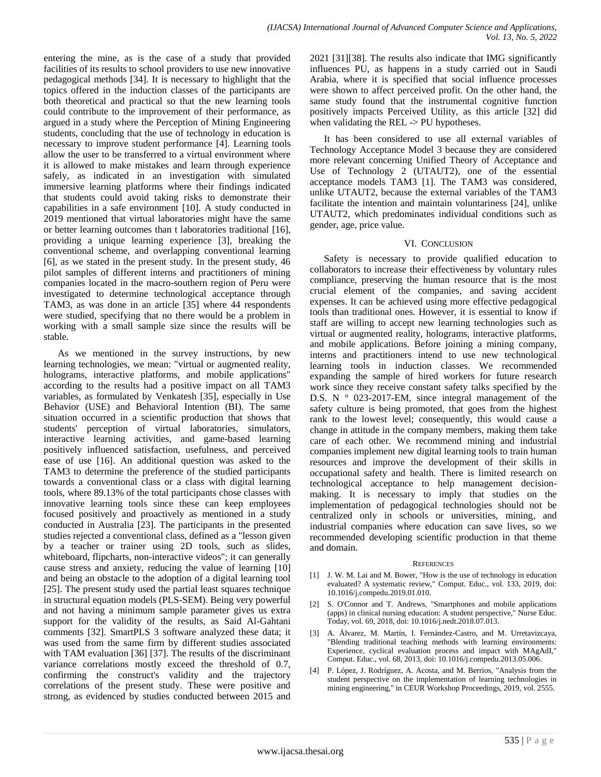entering the mine, as is the case of a study that provided facilities of its results to school providers to use new innovative pedagogical methods [34]. It is necessary to highlight that the topics offered in the induction classes of the participants are both theoretical and practical so that the new learning tools could contribute to the improvement of their performance, as argued in a study where the Perception of Mining Engineering students, concluding that the use of technology in education is necessary to improve student performance [4]. Learning tools allow the user to be transferred to a virtual environment where it is allowed to make mistakes and learn through experience safely, as indicated in an investigation with simulated immersive learning platforms where their findings indicated that students could avoid taking risks to demonstrate their capabilities in a safe environment [10]. A study conducted in 2019 mentioned that virtual laboratories might have the same or better learning outcomes than t laboratories traditional [16], providing a unique learning experience [3], breaking the conventional scheme, and overlapping conventional learning [6], as we stated in the present study. In the present study, 46 pilot samples of different interns and practitioners of mining companies located in the macro-southern region of Peru were investigated to determine technological acceptance through TAM3, as was done in an article [35] where 44 respondents were studied, specifying that no there would be a problem in working with a small sample size since the results will be stable.

As we mentioned in the survey instructions, by new learning technologies, we mean: "virtual or augmented reality, holograms, interactive platforms, and mobile applications" according to the results had a positive impact on all TAM3 variables, as formulated by Venkatesh [35], especially in Use Behavior (USE) and Behavioral Intention (BI). The same situation occurred in a scientific production that shows that students' perception of virtual laboratories, simulators, interactive learning activities, and game-based learning positively influenced satisfaction, usefulness, and perceived ease of use [16]. An additional question was asked to the TAM3 to determine the preference of the studied participants towards a conventional class or a class with digital learning tools, where 89.13% of the total participants chose classes with innovative learning tools since these can keep employees focused positively and proactively as mentioned in a study conducted in Australia [23]. The participants in the presented studies rejected a conventional class, defined as a "lesson given by a teacher or trainer using 2D tools, such as slides, whiteboard, flipcharts, non-interactive videos"; it can generally cause stress and anxiety, reducing the value of learning [10] and being an obstacle to the adoption of a digital learning tool [25]. The present study used the partial least squares technique in structural equation models (PLS-SEM). Being very powerful and not having a minimum sample parameter gives us extra support for the validity of the results, as Said Al-Gahtani comments [32]. SmartPLS 3 software analyzed these data; it was used from the same firm by different studies associated with TAM evaluation [36] [37]. The results of the discriminant variance correlations mostly exceed the threshold of 0.7, confirming the construct's validity and the trajectory correlations of the present study. These were positive and strong, as evidenced by studies conducted between 2015 and

2021 [31][38]. The results also indicate that IMG significantly influences PU, as happens in a study carried out in Saudi Arabia, where it is specified that social influence processes were shown to affect perceived profit. On the other hand, the same study found that the instrumental cognitive function positively impacts Perceived Utility, as this article [32] did when validating the REL -> PU hypotheses.

It has been considered to use all external variables of Technology Acceptance Model 3 because they are considered more relevant concerning Unified Theory of Acceptance and Use of Technology 2 (UTAUT2), one of the essential acceptance models TAM3 [1]. The TAM3 was considered, unlike UTAUT2, because the external variables of the TAM3 facilitate the intention and maintain voluntariness [24], unlike UTAUT2, which predominates individual conditions such as gender, age, price value.

## VI. CONCLUSION

Safety is necessary to provide qualified education to collaborators to increase their effectiveness by voluntary rules compliance, preserving the human resource that is the most crucial element of the companies, and saving accident expenses. It can be achieved using more effective pedagogical tools than traditional ones. However, it is essential to know if staff are willing to accept new learning technologies such as virtual or augmented reality, holograms, interactive platforms, and mobile applications. Before joining a mining company, interns and practitioners intend to use new technological learning tools in induction classes. We recommended expanding the sample of hired workers for future research work since they receive constant safety talks specified by the D.S. N ° 023-2017-EM, since integral management of the safety culture is being promoted, that goes from the highest rank to the lowest level; consequently, this would cause a change in attitude in the company members, making them take care of each other. We recommend mining and industrial companies implement new digital learning tools to train human resources and improve the development of their skills in occupational safety and health. There is limited research on technological acceptance to help management decisionmaking. It is necessary to imply that studies on the implementation of pedagogical technologies should not be centralized only in schools or universities, mining, and industrial companies where education can save lives, so we recommended developing scientific production in that theme and domain.

#### **REFERENCES**

- [1] J. W. M. Lai and M. Bower, "How is the use of technology in education evaluated? A systematic review," Comput. Educ., vol. 133, 2019, doi: 10.1016/j.compedu.2019.01.010.
- [2] S. O'Connor and T. Andrews, "Smartphones and mobile applications (apps) in clinical nursing education: A student perspective," Nurse Educ. Today, vol. 69, 2018, doi: 10.1016/j.nedt.2018.07.013.
- [3] A. Álvarez, M. Martín, I. Fernández-Castro, and M. Urretavizcaya, "Blending traditional teaching methods with learning environments: Experience, cyclical evaluation process and impact with MAgAdI," Comput. Educ., vol. 68, 2013, doi: 10.1016/j.compedu.2013.05.006.
- [4] P. López, J. Rodríguez, A. Acosta, and M. Berrios, "Analysis from the student perspective on the implementation of learning technologies in mining engineering," in CEUR Workshop Proceedings, 2019, vol. 2555.